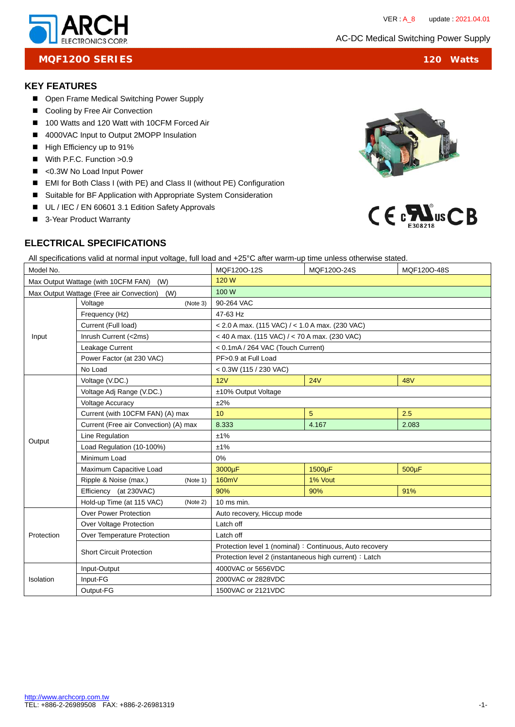

# **MQF120O SERIES** 120 Watts

# **KEY FEATURES**

- Open Frame Medical Switching Power Supply
- Cooling by Free Air Convection
- 100 Watts and 120 Watt with 10CFM Forced Air
- 4000VAC Input to Output 2MOPP Insulation
- High Efficiency up to 91%
- With P.F.C. Function > 0.9
- <0.3W No Load Input Power
- EMI for Both Class I (with PE) and Class II (without PE) Configuration
- Suitable for BF Application with Appropriate System Consideration
- UL / IEC / EN 60601 3.1 Edition Safety Approvals
- 3-Year Product Warranty



# **ELECTRICAL SPECIFICATIONS**

All specifications valid at normal input voltage, full load and +25°C after warm-up time unless otherwise stated.

| Model No.                                    |                                       | MQF120O-12S                                             | MQF120O-24S | MQF120O-48S |  |
|----------------------------------------------|---------------------------------------|---------------------------------------------------------|-------------|-------------|--|
| Max Output Wattage (with 10CFM FAN) (W)      |                                       | 120 W                                                   |             |             |  |
| Max Output Wattage (Free air Convection) (W) |                                       | 100 W                                                   |             |             |  |
| Input                                        | Voltage<br>(Note 3)                   | 90-264 VAC                                              |             |             |  |
|                                              | Frequency (Hz)                        | 47-63 Hz                                                |             |             |  |
|                                              | Current (Full load)                   | $<$ 2.0 A max. (115 VAC) / $<$ 1.0 A max. (230 VAC)     |             |             |  |
|                                              | Inrush Current (<2ms)                 | < 40 A max. (115 VAC) / < 70 A max. (230 VAC)           |             |             |  |
|                                              | Leakage Current                       | < 0.1mA / 264 VAC (Touch Current)                       |             |             |  |
|                                              | Power Factor (at 230 VAC)             | PF>0.9 at Full Load                                     |             |             |  |
|                                              | No Load                               | $< 0.3W$ (115 / 230 VAC)                                |             |             |  |
|                                              | Voltage (V.DC.)                       | 12V                                                     | 24V         | <b>48V</b>  |  |
|                                              | Voltage Adj Range (V.DC.)             | ±10% Output Voltage                                     |             |             |  |
|                                              | <b>Voltage Accuracy</b>               | ±2%                                                     |             |             |  |
|                                              | Current (with 10CFM FAN) (A) max      | 10 <sup>1</sup>                                         | 5           | 2.5         |  |
|                                              | Current (Free air Convection) (A) max | 8.333                                                   | 4.167       | 2.083       |  |
|                                              | Line Regulation                       | ±1%                                                     |             |             |  |
| Output                                       | Load Regulation (10-100%)             | ±1%                                                     |             |             |  |
|                                              | Minimum Load                          | 0%                                                      |             |             |  |
|                                              | Maximum Capacitive Load               | 3000µF                                                  | 1500µF      | 500µF       |  |
|                                              | Ripple & Noise (max.)<br>(Note 1)     | 160mV                                                   | 1% Vout     |             |  |
|                                              | Efficiency (at 230VAC)                | 90%                                                     | 90%         | 91%         |  |
|                                              | Hold-up Time (at 115 VAC)<br>(Note 2) | $10$ ms min.                                            |             |             |  |
|                                              | <b>Over Power Protection</b>          | Auto recovery, Hiccup mode                              |             |             |  |
|                                              | Over Voltage Protection               | Latch off                                               |             |             |  |
| Protection                                   | Over Temperature Protection           | Latch off                                               |             |             |  |
|                                              | <b>Short Circuit Protection</b>       | Protection level 1 (nominal): Continuous, Auto recovery |             |             |  |
|                                              |                                       | Protection level 2 (instantaneous high current) : Latch |             |             |  |
| Isolation                                    | Input-Output                          | 4000VAC or 5656VDC                                      |             |             |  |
|                                              | Input-FG                              | 2000VAC or 2828VDC                                      |             |             |  |
|                                              | Output-FG                             | 1500VAC or 2121VDC                                      |             |             |  |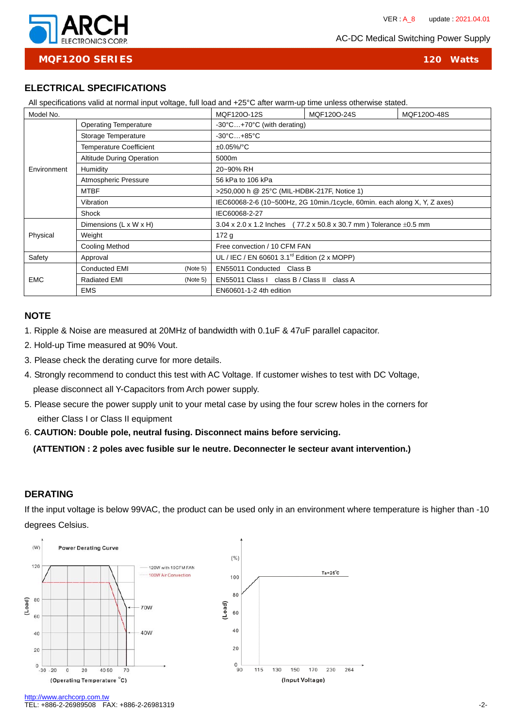AC-DC Medical Switching Power Supply



**MQF120O SERIES 120 Watts**

## **ELECTRICAL SPECIFICATIONS**

All specifications valid at normal input voltage, full load and +25°C after warm-up time unless otherwise stated.

| Model No.   |                                  | MQF120O-12S | MQF120O-24S                                                               | MQF120O-48S |  |  |
|-------------|----------------------------------|-------------|---------------------------------------------------------------------------|-------------|--|--|
| Environment | <b>Operating Temperature</b>     |             | $-30^{\circ}$ C $+70^{\circ}$ C (with derating)                           |             |  |  |
|             | Storage Temperature              |             | $-30^{\circ}$ C $+85^{\circ}$ C                                           |             |  |  |
|             | <b>Temperature Coefficient</b>   |             | $±0.05\%$ <sup>o</sup> C                                                  |             |  |  |
|             | <b>Altitude During Operation</b> |             | 5000m                                                                     |             |  |  |
|             | Humidity                         |             | 20~90% RH                                                                 |             |  |  |
|             | Atmospheric Pressure             |             | 56 kPa to 106 kPa                                                         |             |  |  |
|             | <b>MTBF</b>                      |             | >250,000 h @ 25°C (MIL-HDBK-217F, Notice 1)                               |             |  |  |
|             | Vibration                        |             | IEC60068-2-6 (10~500Hz, 2G 10min./1cycle, 60min. each along X, Y, Z axes) |             |  |  |
|             | Shock                            |             | IEC60068-2-27                                                             |             |  |  |
| Physical    | Dimensions (L x W x H)           |             | 3.04 x 2.0 x 1.2 lnches (77.2 x 50.8 x 30.7 mm) Tolerance $\pm$ 0.5 mm    |             |  |  |
|             | Weight                           |             | 172g                                                                      |             |  |  |
|             | Cooling Method                   |             | Free convection / 10 CFM FAN                                              |             |  |  |
| Safety      | Approval                         |             | UL / IEC / EN 60601 3.1 <sup>rd</sup> Edition (2 x MOPP)                  |             |  |  |
| <b>EMC</b>  | <b>Conducted EMI</b>             | (Note 5)    | EN55011 Conducted Class B                                                 |             |  |  |
|             | <b>Radiated EMI</b>              | (Note 5)    | EN55011 Class I class B / Class II class A                                |             |  |  |
|             | <b>EMS</b>                       |             | EN60601-1-2 4th edition                                                   |             |  |  |

#### **NOTE**

1. Ripple & Noise are measured at 20MHz of bandwidth with 0.1uF & 47uF parallel capacitor.

- 2. Hold-up Time measured at 90% Vout.
- 3. Please check the derating curve for more details.
- 4. Strongly recommend to conduct this test with AC Voltage. If customer wishes to test with DC Voltage, please disconnect all Y-Capacitors from Arch power supply.
- 5. Please secure the power supply unit to your metal case by using the four screw holes in the corners for either Class I or Class II equipment
- 6. **CAUTION: Double pole, neutral fusing. Disconnect mains before servicing.**

**(ATTENTION : 2 poles avec fusible sur le neutre. Deconnecter le secteur avant intervention.)** 

### **DERATING**

If the input voltage is below 99VAC, the product can be used only in an environment where temperature is higher than -10 degrees Celsius.



http://www.archcorp.com.tv TEL: +886-2-26989508 FAX: +886-2-26981319 -2-2008 -2-2008 -2-2008 -2-2008 -2-2008 -2-2008 -2-2008 -2-2008 -2-2